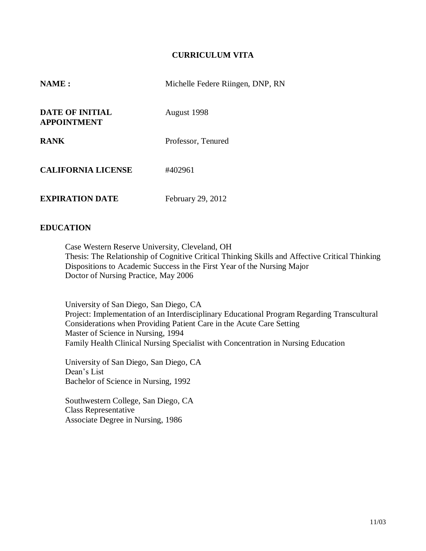### **CURRICULUM VITA**

| NAME:                                        | Michelle Federe Riingen, DNP, RN |
|----------------------------------------------|----------------------------------|
| <b>DATE OF INITIAL</b><br><b>APPOINTMENT</b> | August 1998                      |
| <b>RANK</b>                                  | Professor, Tenured               |
| <b>CALIFORNIA LICENSE</b>                    | #402961                          |
| <b>EXPIRATION DATE</b>                       | February 29, 2012                |

### **EDUCATION**

Case Western Reserve University, Cleveland, OH Thesis: The Relationship of Cognitive Critical Thinking Skills and Affective Critical Thinking Dispositions to Academic Success in the First Year of the Nursing Major Doctor of Nursing Practice, May 2006

University of San Diego, San Diego, CA Project: Implementation of an Interdisciplinary Educational Program Regarding Transcultural Considerations when Providing Patient Care in the Acute Care Setting Master of Science in Nursing, 1994 Family Health Clinical Nursing Specialist with Concentration in Nursing Education

University of San Diego, San Diego, CA Dean's List Bachelor of Science in Nursing, 1992

Southwestern College, San Diego, CA Class Representative Associate Degree in Nursing, 1986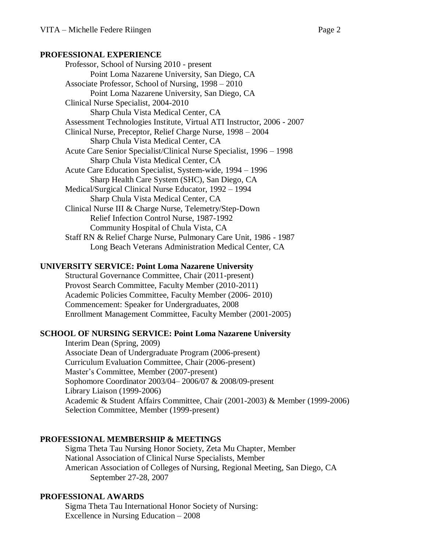#### **PROFESSIONAL EXPERIENCE**

Professor, School of Nursing 2010 - present Point Loma Nazarene University, San Diego, CA Associate Professor, School of Nursing, 1998 – 2010 Point Loma Nazarene University, San Diego, CA Clinical Nurse Specialist, 2004-2010 Sharp Chula Vista Medical Center, CA Assessment Technologies Institute, Virtual ATI Instructor, 2006 - 2007 Clinical Nurse, Preceptor, Relief Charge Nurse, 1998 – 2004 Sharp Chula Vista Medical Center, CA Acute Care Senior Specialist/Clinical Nurse Specialist, 1996 – 1998 Sharp Chula Vista Medical Center, CA Acute Care Education Specialist, System-wide, 1994 – 1996 Sharp Health Care System (SHC), San Diego, CA Medical/Surgical Clinical Nurse Educator, 1992 – 1994 Sharp Chula Vista Medical Center, CA Clinical Nurse III & Charge Nurse, Telemetry/Step-Down Relief Infection Control Nurse, 1987-1992 Community Hospital of Chula Vista, CA Staff RN & Relief Charge Nurse, Pulmonary Care Unit, 1986 - 1987 Long Beach Veterans Administration Medical Center, CA

#### **UNIVERSITY SERVICE: Point Loma Nazarene University**

Structural Governance Committee, Chair (2011-present) Provost Search Committee, Faculty Member (2010-2011) Academic Policies Committee, Faculty Member (2006- 2010) Commencement: Speaker for Undergraduates, 2008 Enrollment Management Committee, Faculty Member (2001-2005)

### **SCHOOL OF NURSING SERVICE: Point Loma Nazarene University**

Interim Dean (Spring, 2009) Associate Dean of Undergraduate Program (2006-present) Curriculum Evaluation Committee, Chair (2006-present) Master's Committee, Member (2007-present) Sophomore Coordinator 2003/04– 2006/07 & 2008/09-present Library Liaison (1999-2006) Academic & Student Affairs Committee, Chair (2001-2003) & Member (1999-2006) Selection Committee, Member (1999-present)

### **PROFESSIONAL MEMBERSHIP & MEETINGS**

Sigma Theta Tau Nursing Honor Society, Zeta Mu Chapter, Member National Association of Clinical Nurse Specialists, Member American Association of Colleges of Nursing, Regional Meeting, San Diego, CA September 27-28, 2007

#### **PROFESSIONAL AWARDS**

Sigma Theta Tau International Honor Society of Nursing: Excellence in Nursing Education – 2008